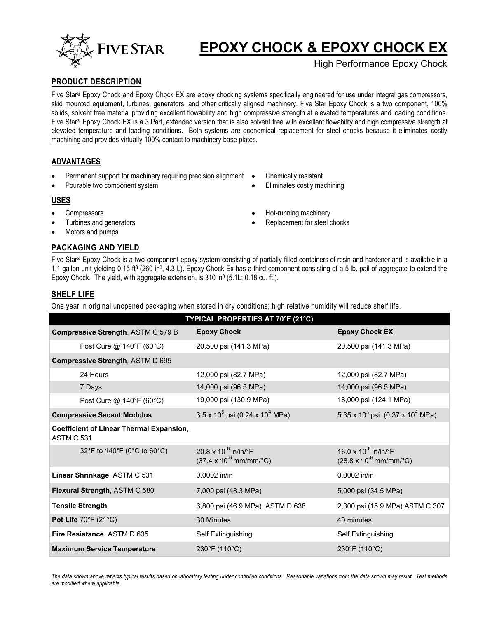

# **EPOXY CHOCK & EPOXY CHOCK EX**

High Performance Epoxy Chock

## **PRODUCT DESCRIPTION**

Five Star® Epoxy Chock and Epoxy Chock EX are epoxy chocking systems specifically engineered for use under integral gas compressors, skid mounted equipment, turbines, generators, and other critically aligned machinery. Five Star Epoxy Chock is a two component, 100% solids, solvent free material providing excellent flowability and high compressive strength at elevated temperatures and loading conditions. Five Star® Epoxy Chock EX is a 3 Part, extended version that is also solvent free with excellent flowability and high compressive strength at elevated temperature and loading conditions. Both systems are economical replacement for steel chocks because it eliminates costly machining and provides virtually 100% contact to machinery base plates.

## **ADVANTAGES**

- Permanent support for machinery requiring precision alignment
- Pourable two component system
- Chemically resistant
- Eliminates costly machining

#### **USES**

- **Compressors**
- Turbines and generators
- Motors and pumps

# **PACKAGING AND YIELD**

Five Star® Epoxy Chock is a two-component epoxy system consisting of partially filled containers of resin and hardener and is available in a 1.1 gallon unit yielding 0.15 ft<sup>3</sup> (260 in<sup>3</sup>, 4.3 L). Epoxy Chock Ex has a third component consisting of a 5 lb. pail of aggregate to extend the Epoxy Chock. The yield, with aggregate extension, is 310 in<sup>3</sup> (5.1L; 0.18 cu. ft.).

## **SHELF LIFE**

One year in original unopened packaging when stored in dry conditions; high relative humidity will reduce shelf life.

| TYPICAL PROPERTIES AT 70°F (21°C)                             |                                                                               |                                                                                             |  |  |
|---------------------------------------------------------------|-------------------------------------------------------------------------------|---------------------------------------------------------------------------------------------|--|--|
| <b>Compressive Strength, ASTM C 579 B</b>                     | <b>Epoxy Chock</b>                                                            | <b>Epoxy Chock EX</b>                                                                       |  |  |
| Post Cure @ 140°F (60°C)                                      | 20,500 psi (141.3 MPa)                                                        | 20,500 psi (141.3 MPa)                                                                      |  |  |
| Compressive Strength, ASTM D 695                              |                                                                               |                                                                                             |  |  |
| 24 Hours                                                      | 12,000 psi (82.7 MPa)                                                         | 12,000 psi (82.7 MPa)                                                                       |  |  |
| 7 Days                                                        | 14,000 psi (96.5 MPa)                                                         | 14,000 psi (96.5 MPa)                                                                       |  |  |
| Post Cure @ 140°F (60°C)                                      | 19,000 psi (130.9 MPa)                                                        | 18,000 psi (124.1 MPa)                                                                      |  |  |
| <b>Compressive Secant Modulus</b>                             | $3.5 \times 10^5$ psi (0.24 x 10 <sup>4</sup> MPa)                            | 5.35 x 10 <sup>5</sup> psi $(0.37 \times 10^4 \text{ MPa})$                                 |  |  |
| <b>Coefficient of Linear Thermal Expansion,</b><br>ASTM C 531 |                                                                               |                                                                                             |  |  |
| 32°F to 140°F (0°C to 60°C)                                   | 20.8 x $10^{-6}$ in/in/°F<br>$(37.4 \times 10^{-6} \text{mm/mm} / \text{°C})$ | 16.0 x $10^{-6}$ in/in/ $\degree$ F<br>$(28.8 \times 10^{-6} \text{mm/mm}^{\circ}\text{C})$ |  |  |
| Linear Shrinkage, ASTM C 531                                  | $0.0002$ in/in                                                                | 0.0002 in/in                                                                                |  |  |
| Flexural Strength, ASTM C 580                                 | 7,000 psi (48.3 MPa)                                                          | 5,000 psi (34.5 MPa)                                                                        |  |  |
| <b>Tensile Strength</b>                                       | 6,800 psi (46.9 MPa) ASTM D 638                                               | 2,300 psi (15.9 MPa) ASTM C 307                                                             |  |  |
| Pot Life $70^{\circ}$ F (21 $^{\circ}$ C)                     | 30 Minutes                                                                    | 40 minutes                                                                                  |  |  |
| Fire Resistance, ASTM D 635                                   | Self Extinguishing                                                            | Self Extinguishing                                                                          |  |  |
| <b>Maximum Service Temperature</b>                            | $230^{\circ}$ F (110 $^{\circ}$ C)                                            | $230^{\circ}$ F (110 $^{\circ}$ C)                                                          |  |  |

*The data shown above reflects typical results based on laboratory testing under controlled conditions. Reasonable variations from the data shown may result. Test methods are modified where applicable.* 

- 
- Hot-running machinery
- Replacement for steel chocks